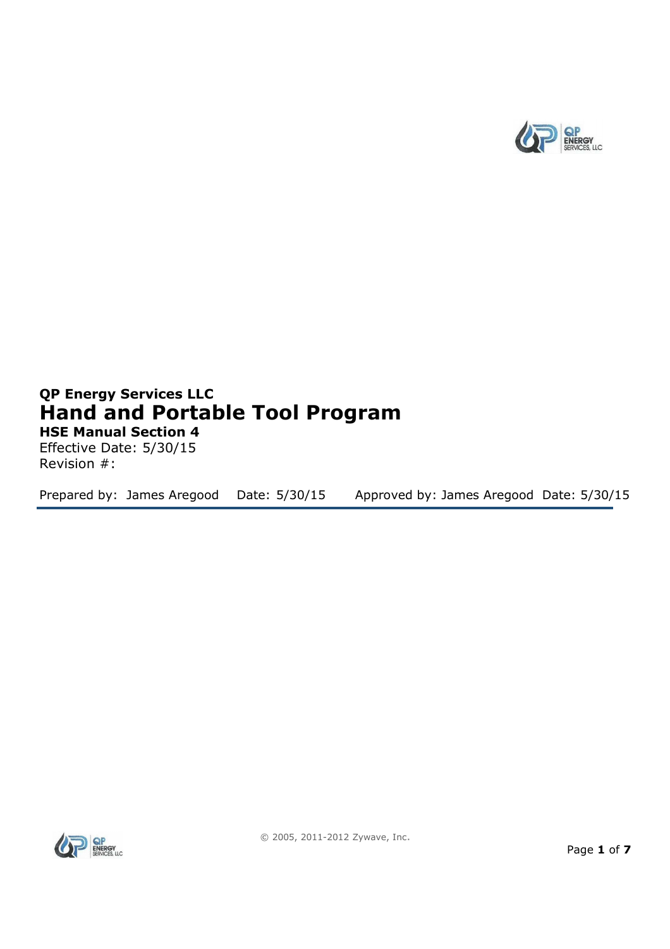

# **QP Energy Services LLC Hand and Portable Tool Program HSE Manual Section 4**

Effective Date: 5/30/15 Revision #:

Prepared by: James Aregood Date: 5/30/15 Approved by: James Aregood Date: 5/30/15

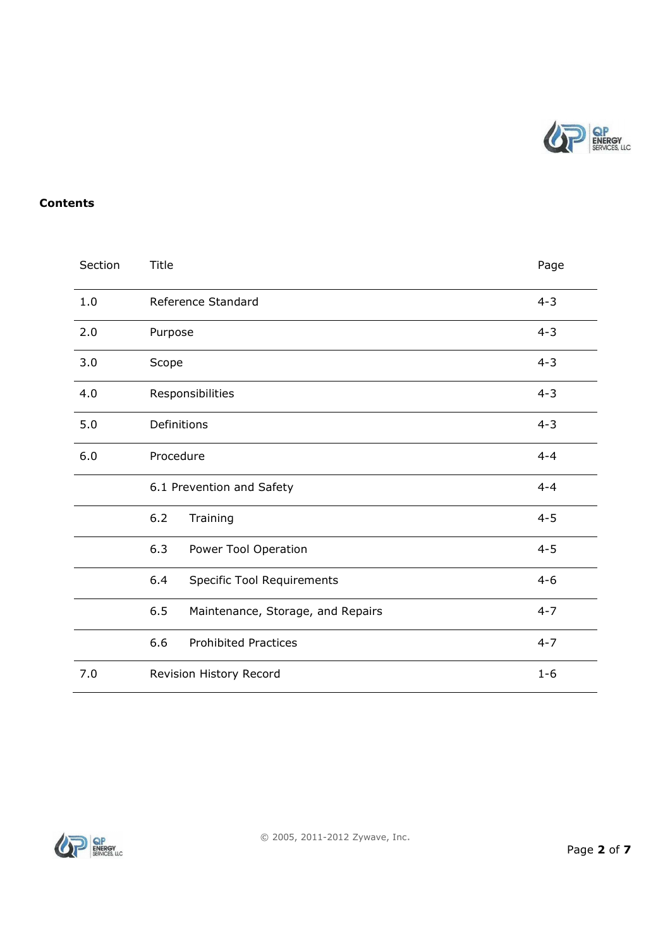

#### **Contents**

| Section | Title                                    |         |  |  |
|---------|------------------------------------------|---------|--|--|
| 1.0     | Reference Standard                       | $4 - 3$ |  |  |
| 2.0     | Purpose                                  | $4 - 3$ |  |  |
| 3.0     | Scope                                    | $4 - 3$ |  |  |
| 4.0     | Responsibilities                         |         |  |  |
| 5.0     | Definitions                              |         |  |  |
| 6.0     | Procedure                                | $4 - 4$ |  |  |
|         | 6.1 Prevention and Safety                | $4 - 4$ |  |  |
|         | 6.2<br>Training                          | $4 - 5$ |  |  |
|         | 6.3<br>Power Tool Operation              | $4 - 5$ |  |  |
|         | 6.4<br><b>Specific Tool Requirements</b> | $4 - 6$ |  |  |
|         | 6.5<br>Maintenance, Storage, and Repairs | $4 - 7$ |  |  |
|         | 6.6<br><b>Prohibited Practices</b>       | $4 - 7$ |  |  |
| 7.0     | Revision History Record<br>$1 - 6$       |         |  |  |

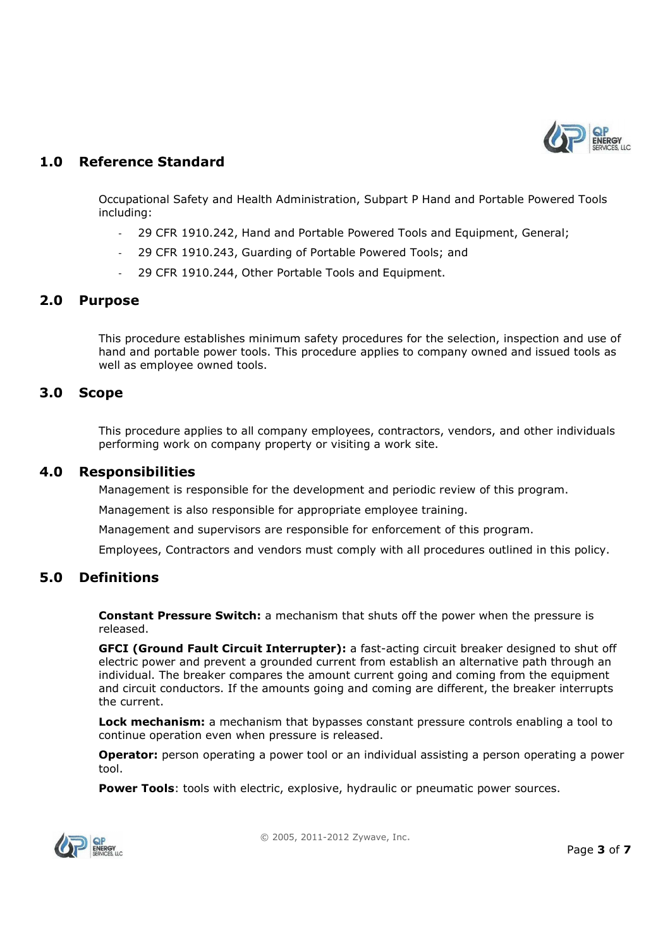

## **1.0 Reference Standard**

Occupational Safety and Health Administration, Subpart P Hand and Portable Powered Tools including:

- 29 CFR 1910.242, Hand and Portable Powered Tools and Equipment, General;
- 29 CFR 1910.243, Guarding of Portable Powered Tools; and
- 29 CFR 1910.244, Other Portable Tools and Equipment.

#### **2.0 Purpose**

This procedure establishes minimum safety procedures for the selection, inspection and use of hand and portable power tools. This procedure applies to company owned and issued tools as well as employee owned tools.

#### **3.0 Scope**

This procedure applies to all company employees, contractors, vendors, and other individuals performing work on company property or visiting a work site.

#### **4.0 Responsibilities**

Management is responsible for the development and periodic review of this program.

Management is also responsible for appropriate employee training.

Management and supervisors are responsible for enforcement of this program.

Employees, Contractors and vendors must comply with all procedures outlined in this policy.

### **5.0 Definitions**

**Constant Pressure Switch:** a mechanism that shuts off the power when the pressure is released.

**GFCI (Ground Fault Circuit Interrupter):** a fast-acting circuit breaker designed to shut off electric power and prevent a grounded current from establish an alternative path through an individual. The breaker compares the amount current going and coming from the equipment and circuit conductors. If the amounts going and coming are different, the breaker interrupts the current.

**Lock mechanism:** a mechanism that bypasses constant pressure controls enabling a tool to continue operation even when pressure is released.

**Operator:** person operating a power tool or an individual assisting a person operating a power tool.

**Power Tools**: tools with electric, explosive, hydraulic or pneumatic power sources.



© 2005, 2011-2012 Zywave, Inc.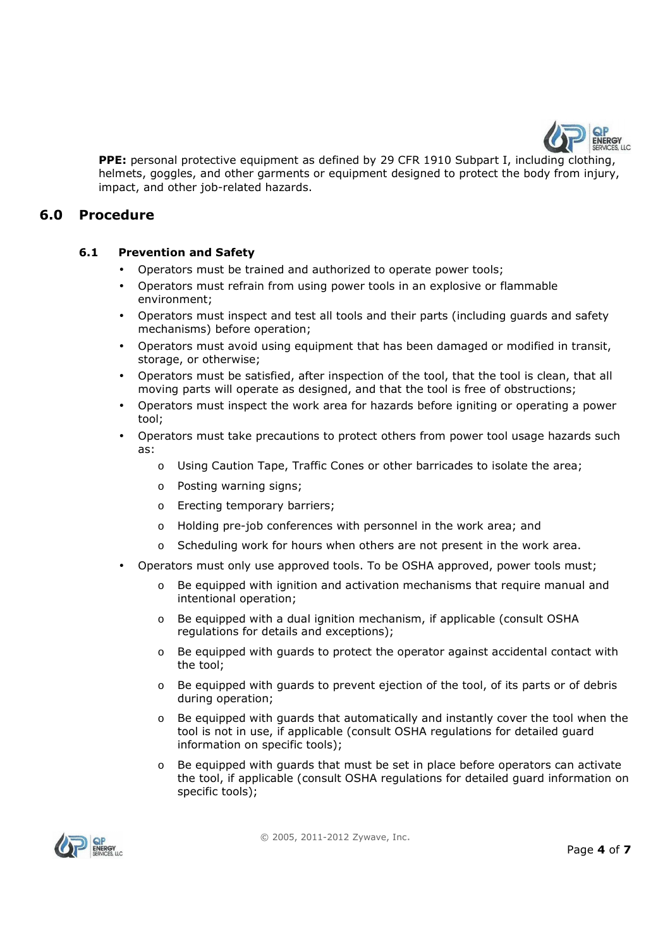

**PPE:** personal protective equipment as defined by 29 CFR 1910 Subpart I, including clothing, helmets, goggles, and other garments or equipment designed to protect the body from injury, impact, and other job-related hazards.

### **6.0 Procedure**

#### **6.1 Prevention and Safety**

- Operators must be trained and authorized to operate power tools;
- Operators must refrain from using power tools in an explosive or flammable environment;
- Operators must inspect and test all tools and their parts (including guards and safety mechanisms) before operation;
- Operators must avoid using equipment that has been damaged or modified in transit, storage, or otherwise;
- Operators must be satisfied, after inspection of the tool, that the tool is clean, that all moving parts will operate as designed, and that the tool is free of obstructions;
- Operators must inspect the work area for hazards before igniting or operating a power tool;
- Operators must take precautions to protect others from power tool usage hazards such as:
	- o Using Caution Tape, Traffic Cones or other barricades to isolate the area;
	- o Posting warning signs;
	- o Erecting temporary barriers;
	- o Holding pre-job conferences with personnel in the work area; and
	- o Scheduling work for hours when others are not present in the work area.
- Operators must only use approved tools. To be OSHA approved, power tools must;
	- $\circ$  Be equipped with ignition and activation mechanisms that require manual and intentional operation;
	- o Be equipped with a dual ignition mechanism, if applicable (consult OSHA regulations for details and exceptions);
	- $\circ$  Be equipped with quards to protect the operator against accidental contact with the tool;
	- $\circ$  Be equipped with quards to prevent ejection of the tool, of its parts or of debris during operation;
	- $\circ$  Be equipped with quards that automatically and instantly cover the tool when the tool is not in use, if applicable (consult OSHA regulations for detailed guard information on specific tools);
	- $\circ$  Be equipped with quards that must be set in place before operators can activate the tool, if applicable (consult OSHA regulations for detailed guard information on specific tools);

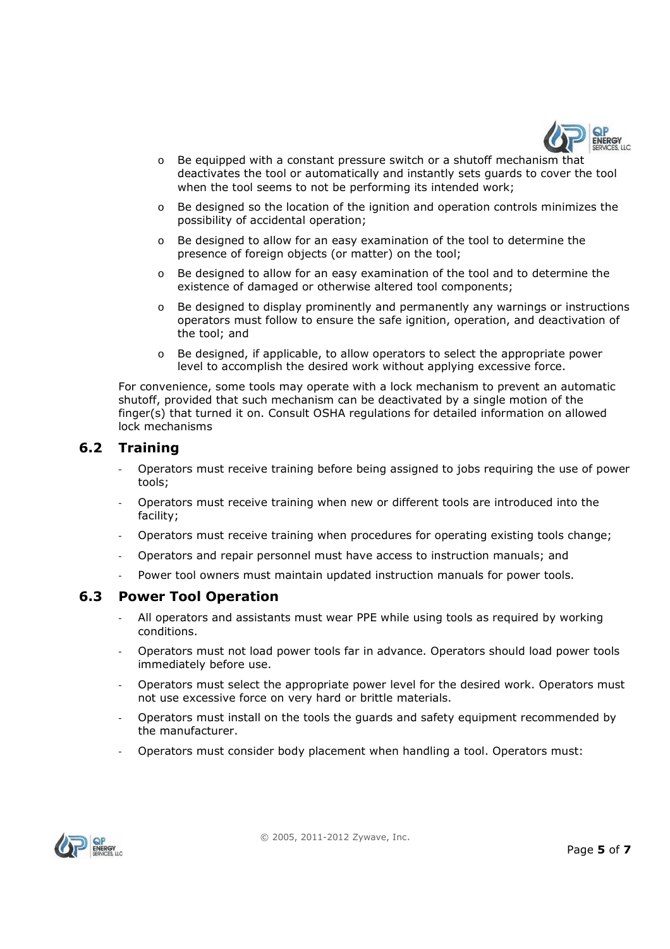

- $\circ$  Be equipped with a constant pressure switch or a shutoff mechanism that deactivates the tool or automatically and instantly sets guards to cover the tool when the tool seems to not be performing its intended work;
- $\circ$  Be designed so the location of the ignition and operation controls minimizes the possibility of accidental operation;
- o Be designed to allow for an easy examination of the tool to determine the presence of foreign objects (or matter) on the tool;
- o Be designed to allow for an easy examination of the tool and to determine the existence of damaged or otherwise altered tool components;
- $\circ$  Be designed to display prominently and permanently any warnings or instructions operators must follow to ensure the safe ignition, operation, and deactivation of the tool; and
- $\circ$  Be designed, if applicable, to allow operators to select the appropriate power level to accomplish the desired work without applying excessive force.

For convenience, some tools may operate with a lock mechanism to prevent an automatic shutoff, provided that such mechanism can be deactivated by a single motion of the finger(s) that turned it on. Consult OSHA regulations for detailed information on allowed lock mechanisms

### **6.2 Training**

- Operators must receive training before being assigned to jobs requiring the use of power tools;
- Operators must receive training when new or different tools are introduced into the facility;
- Operators must receive training when procedures for operating existing tools change;
- Operators and repair personnel must have access to instruction manuals; and
- Power tool owners must maintain updated instruction manuals for power tools.

#### **6.3 Power Tool Operation**

- All operators and assistants must wear PPE while using tools as required by working conditions.
- Operators must not load power tools far in advance. Operators should load power tools immediately before use.
- Operators must select the appropriate power level for the desired work. Operators must not use excessive force on very hard or brittle materials.
- Operators must install on the tools the guards and safety equipment recommended by the manufacturer.
- Operators must consider body placement when handling a tool. Operators must:

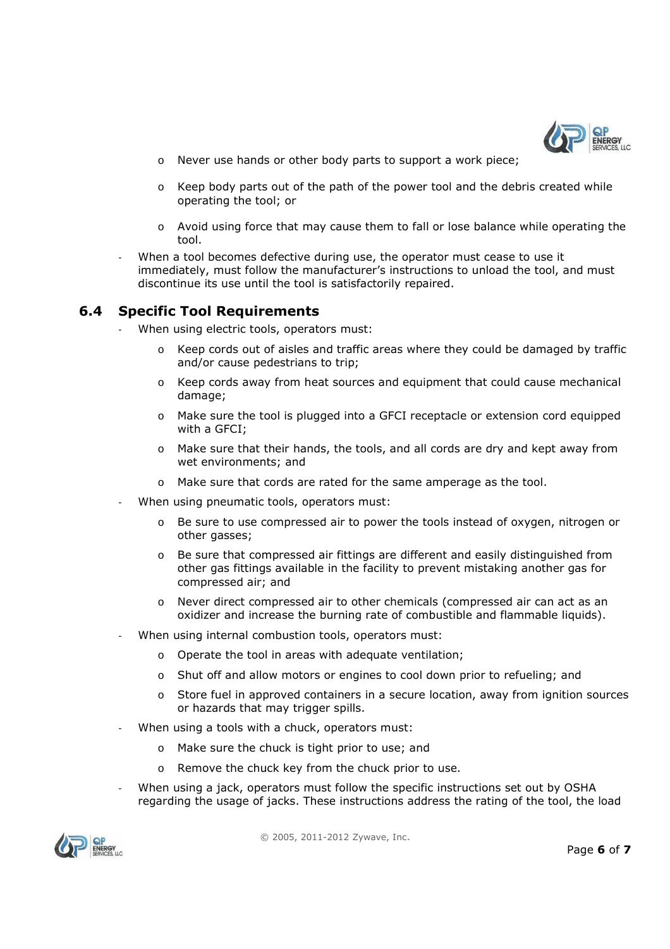

- o Never use hands or other body parts to support a work piece;
- $\circ$  Keep body parts out of the path of the power tool and the debris created while operating the tool; or
- o Avoid using force that may cause them to fall or lose balance while operating the tool.
- When a tool becomes defective during use, the operator must cease to use it immediately, must follow the manufacturer's instructions to unload the tool, and must discontinue its use until the tool is satisfactorily repaired.

### **6.4 Specific Tool Requirements**

- When using electric tools, operators must:
	- $\circ$  Keep cords out of aisles and traffic areas where they could be damaged by traffic and/or cause pedestrians to trip;
	- o Keep cords away from heat sources and equipment that could cause mechanical damage;
	- o Make sure the tool is plugged into a GFCI receptacle or extension cord equipped with a GFCI;
	- o Make sure that their hands, the tools, and all cords are dry and kept away from wet environments; and
	- o Make sure that cords are rated for the same amperage as the tool.
- When using pneumatic tools, operators must:
	- Be sure to use compressed air to power the tools instead of oxygen, nitrogen or other gasses;
	- o Be sure that compressed air fittings are different and easily distinguished from other gas fittings available in the facility to prevent mistaking another gas for compressed air; and
	- o Never direct compressed air to other chemicals (compressed air can act as an oxidizer and increase the burning rate of combustible and flammable liquids).
- When using internal combustion tools, operators must:
	- o Operate the tool in areas with adequate ventilation;
	- o Shut off and allow motors or engines to cool down prior to refueling; and
	- o Store fuel in approved containers in a secure location, away from ignition sources or hazards that may trigger spills.
- When using a tools with a chuck, operators must:
	- o Make sure the chuck is tight prior to use; and
	- o Remove the chuck key from the chuck prior to use.
- When using a jack, operators must follow the specific instructions set out by OSHA regarding the usage of jacks. These instructions address the rating of the tool, the load